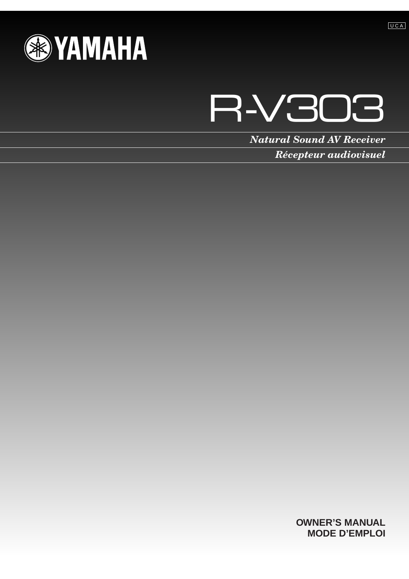

# R-V303

*Natural Sound AV Receiver Récepteur audiovisuel* 

> **OWNER'S MANUAL MODE D'EMPLOI**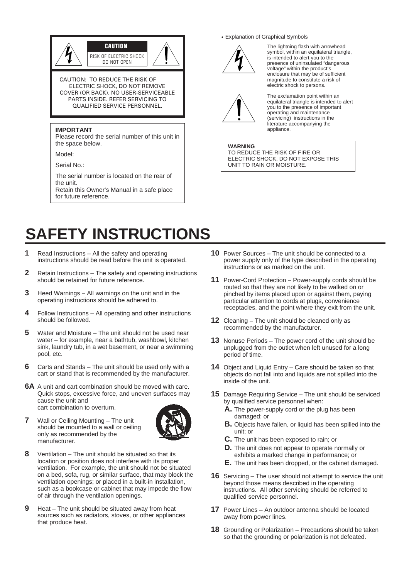

CAUTION: TO REDUCE THE RISK OF ELECTRIC SHOCK, DO NOT REMOVE COVER (OR BACK). NO USER-SERVICEABLE PARTS INSIDE. REFER SERVICING TO QUALIFIED SERVICE PERSONNEL.

#### **IMPORTANT**

Please record the serial number of this unit in the space below.

Model:

Serial No.:

The serial number is located on the rear of the unit. Retain this Owner's Manual in a safe place for future reference.

• Explanation of Graphical Symbols



The lightning flash with arrowhead symbol, within an equilateral triangle, is intended to alert you to the presence of uninsulated "dangerous voltage" within the product's enclosure that may be of sufficient magnitude to constitute a risk of electric shock to persons.



The exclamation point within an equilateral triangle is intended to alert you to the presence of important operating and maintenance (servicing) instructions in the literature accompanying the appliance.

#### **WARNING**

TO REDUCE THE RISK OF FIRE OR ELECTRIC SHOCK, DO NOT EXPOSE THIS UNIT TO RAIN OR MOISTURE.

# **SAFETY INSTRUCTIONS**

- **1** Read Instructions All the safety and operating instructions should be read before the unit is operated.
- **2** Retain Instructions The safety and operating instructions should be retained for future reference.
- **3** Heed Warnings All warnings on the unit and in the operating instructions should be adhered to.
- **4** Follow Instructions All operating and other instructions should be followed.
- **5** Water and Moisture The unit should not be used near water – for example, near a bathtub, washbowl, kitchen sink, laundry tub, in a wet basement, or near a swimming pool, etc.
- **6** Carts and Stands The unit should be used only with a cart or stand that is recommended by the manufacturer.
- **6A** A unit and cart combination should be moved with care. Quick stops, excessive force, and uneven surfaces may cause the unit and cart combination to overturn.
- **7** Wall or Ceiling Mounting The unit should be mounted to a wall or ceiling only as recommended by the manufacturer.



- **8** Ventilation The unit should be situated so that its location or position does not interfere with its proper ventilation. For example, the unit should not be situated on a bed, sofa, rug, or similar surface, that may block the ventilation openings; or placed in a built-in installation, such as a bookcase or cabinet that may impede the flow of air through the ventilation openings.
- **9** Heat The unit should be situated away from heat sources such as radiators, stoves, or other appliances that produce heat.
- **10** Power Sources The unit should be connected to a power supply only of the type described in the operating instructions or as marked on the unit.
- **11** Power-Cord Protection Power-supply cords should be routed so that they are not likely to be walked on or pinched by items placed upon or against them, paying particular attention to cords at plugs, convenience receptacles, and the point where they exit from the unit.
- **12** Cleaning The unit should be cleaned only as recommended by the manufacturer.
- **13** Nonuse Periods The power cord of the unit should be unplugged from the outlet when left unused for a long period of time.
- **14** Object and Liquid Entry Care should be taken so that objects do not fall into and liquids are not spilled into the inside of the unit.
- **15** Damage Requiring Service The unit should be serviced by qualified service personnel when:
	- **A.** The power-supply cord or the plug has been damaged; or
	- **B.** Objects have fallen, or liquid has been spilled into the unit; or
	- **C.** The unit has been exposed to rain; or
	- **D.** The unit does not appear to operate normally or exhibits a marked change in performance; or
	- **E.** The unit has been dropped, or the cabinet damaged.
- **16** Servicing The user should not attempt to service the unit beyond those means described in the operating instructions. All other servicing should be referred to qualified service personnel.
- **17** Power Lines An outdoor antenna should be located away from power lines.
- **18** Grounding or Polarization Precautions should be taken so that the grounding or polarization is not defeated.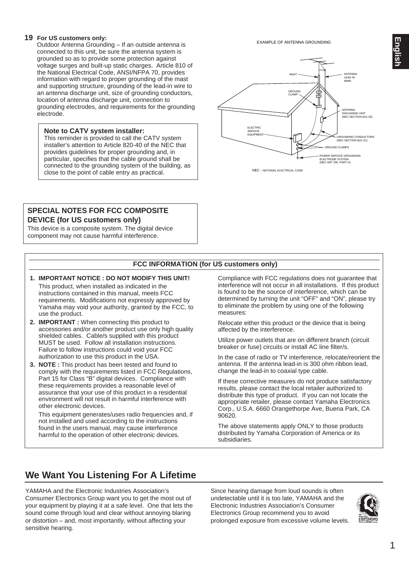#### **19 For US customers only:**

Outdoor Antenna Grounding – If an outside antenna is connected to this unit, be sure the antenna system is grounded so as to provide some protection against voltage surges and built-up static charges. Article 810 of the National Electrical Code, ANSI/NFPA 70, provides information with regard to proper grounding of the mast and supporting structure, grounding of the lead-in wire to an antenna discharge unit, size of grounding conductors, location of antenna discharge unit, connection to grounding electrodes, and requirements for the grounding electrode.

#### **Note to CATV system installer:**

This reminder is provided to call the CATV system installer's attention to Article 820-40 of the NEC that provides guidelines for proper grounding and, in particular, specifies that the cable ground shall be connected to the grounding system of the building, as close to the point of cable entry as practical.

#### **SPECIAL NOTES FOR FCC COMPOSITE DEVICE (for US customers only)**

This device is a composite system. The digital device component may not cause harmful interference.



EXAMPLE OF ANTENNA GROUNDING

NEC – NATIONAL ELECTRICAL CODE

#### **FCC INFORMATION (for US customers only)**

- **1. IMPORTANT NOTICE : DO NOT MODIFY THIS UNIT!** This product, when installed as indicated in the instructions contained in this manual, meets FCC requirements. Modifications not expressly approved by Yamaha may void your authority, granted by the FCC, to use the product.
- **2. IMPORTANT :** When connecting this product to accessories and/or another product use only high quality shielded cables. Cable/s supplied with this product MUST be used. Follow all installation instructions. Failure to follow instructions could void your FCC authorization to use this product in the USA.
- **3. NOTE :** This product has been tested and found to comply with the requirements listed in FCC Regulations, Part 15 for Class "B" digital devices. Compliance with these requirements provides a reasonable level of assurance that your use of this product in a residential environment will not result in harmful interference with other electronic devices.

This equipment generates/uses radio frequencies and, if not installed and used according to the instructions found in the users manual, may cause interference harmful to the operation of other electronic devices.

Compliance with FCC regulations does not guarantee that interference will not occur in all installations. If this product is found to be the source of interference, which can be determined by turning the unit "OFF" and "ON", please try to eliminate the problem by using one of the following measures:

Relocate either this product or the device that is being affected by the interference.

Utilize power outlets that are on different branch (circuit breaker or fuse) circuits or install AC line filter/s.

In the case of radio or TV interference, relocate/reorient the antenna. If the antenna lead-in is 300 ohm ribbon lead, change the lead-in to coaxial type cable.

If these corrective measures do not produce satisfactory results, please contact the local retailer authorized to distribute this type of product. If you can not locate the appropriate retailer, please contact Yamaha Electronics Corp., U.S.A. 6660 Orangethorpe Ave, Buena Park, CA 90620.

The above statements apply ONLY to those products distributed by Yamaha Corporation of America or its subsidiaries.

# **We Want You Listening For A Lifetime**

YAMAHA and the Electronic Industries Association's Consumer Electronics Group want you to get the most out of your equipment by playing it at a safe level. One that lets the sound come through loud and clear without annoying blaring or distortion – and, most importantly, without affecting your sensitive hearing.

Since hearing damage from loud sounds is often undetectable until it is too late, YAMAHA and the Electronic Industries Association's Consumer Electronics Group recommend you to avoid prolonged exposure from excessive volume levels.

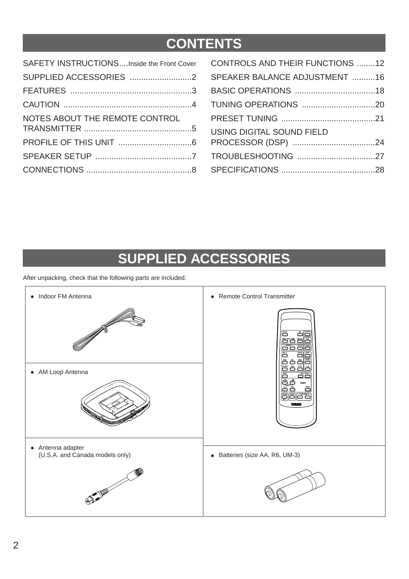# **CONTENTS**

| SAFETY INSTRUCTIONSInside the Front Cover | <b>CONTROLS AND THEIR FUNCTIONS 12</b> |
|-------------------------------------------|----------------------------------------|
|                                           | SPEAKER BALANCE ADJUSTMENT 16          |
|                                           |                                        |
|                                           |                                        |
| NOTES ABOUT THE REMOTE CONTROL            |                                        |
|                                           | USING DIGITAL SOUND FIELD              |
|                                           |                                        |
|                                           |                                        |
|                                           |                                        |
|                                           |                                        |

# **SUPPLIED ACCESSORIES**

After unpacking, check that the following parts are included.

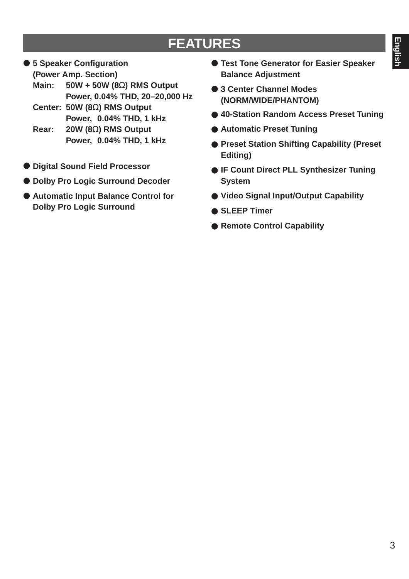# **FEATURES**

● **5 Speaker Configuration (Power Amp. Section)**

**Main: 50W + 50W (8**Ω**) RMS Output Power, 0.04% THD, 20–20,000 Hz**

- **Center: 50W (8**Ω**) RMS Output Power, 0.04% THD, 1 kHz**
- **Rear: 20W (8**Ω**) RMS Output Power, 0.04% THD, 1 kHz**
- **Digital Sound Field Processor**
- **Dolby Pro Logic Surround Decoder**
- **Automatic Input Balance Control for Dolby Pro Logic Surround**
- **Test Tone Generator for Easier Speaker Balance Adjustment**
- **3 Center Channel Modes (NORM/WIDE/PHANTOM)**
- **40-Station Random Access Preset Tuning**
- **Automatic Preset Tuning**
- **Preset Station Shifting Capability (Preset Editing)**
- **IF Count Direct PLL Synthesizer Tuning System**
- **Video Signal Input/Output Capability**
- **SLEEP Timer**
- **Remote Control Capability**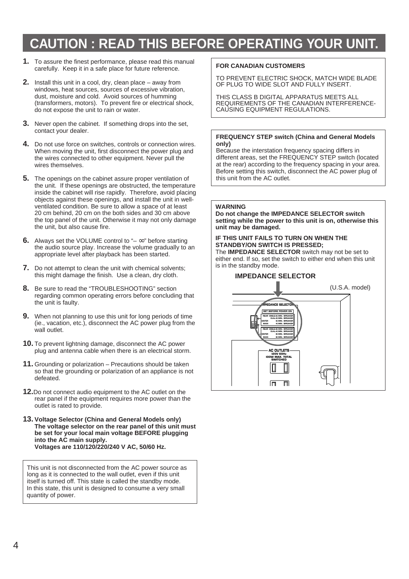# **CAUTION : READ THIS BEFORE OPERATING YOUR UNIT.**

- **1.** To assure the finest performance, please read this manual carefully. Keep it in a safe place for future reference.
- **2.** Install this unit in a cool, dry, clean place away from windows, heat sources, sources of excessive vibration, dust, moisture and cold. Avoid sources of humming (transformers, motors). To prevent fire or electrical shock, do not expose the unit to rain or water.
- **3.** Never open the cabinet. If something drops into the set, contact your dealer.
- **4.** Do not use force on switches, controls or connection wires. When moving the unit, first disconnect the power plug and the wires connected to other equipment. Never pull the wires themselves.
- **5.** The openings on the cabinet assure proper ventilation of the unit. If these openings are obstructed, the temperature inside the cabinet will rise rapidly. Therefore, avoid placing objects against these openings, and install the unit in wellventilated condition. Be sure to allow a space of at least 20 cm behind, 20 cm on the both sides and 30 cm above the top panel of the unit. Otherwise it may not only damage the unit, but also cause fire.
- **6.** Always set the VOLUME control to "– ∞" before starting the audio source play. Increase the volume gradually to an appropriate level after playback has been started.
- **7.** Do not attempt to clean the unit with chemical solvents; this might damage the finish. Use a clean, dry cloth.
- **8.** Be sure to read the "TROUBLESHOOTING" section regarding common operating errors before concluding that the unit is faulty.
- **9.** When not planning to use this unit for long periods of time (ie., vacation, etc.), disconnect the AC power plug from the wall outlet.
- **10.** To prevent lightning damage, disconnect the AC power plug and antenna cable when there is an electrical storm.
- **11.** Grounding or polarization Precautions should be taken so that the grounding or polarization of an appliance is not defeated.
- **12.**Do not connect audio equipment to the AC outlet on the rear panel if the equipment requires more power than the outlet is rated to provide.
- **13. Voltage Selector (China and General Models only) The voltage selector on the rear panel of this unit must be set for your local main voltage BEFORE plugging into the AC main supply. Voltages are 110/120/220/240 V AC, 50/60 Hz.**

This unit is not disconnected from the AC power source as long as it is connected to the wall outlet, even if this unit itself is turned off. This state is called the standby mode. In this state, this unit is designed to consume a very small quantity of power.

#### **FOR CANADIAN CUSTOMERS**

TO PREVENT ELECTRIC SHOCK, MATCH WIDE BLADE OF PLUG TO WIDE SLOT AND FULLY INSERT.

THIS CLASS B DIGITAL APPARATUS MEETS ALL REQUIREMENTS OF THE CANADIAN INTERFERENCE-CAUSING EQUIPMENT REGULATIONS.

#### **FREQUENCY STEP switch (China and General Models only)**

Because the interstation frequency spacing differs in different areas, set the FREQUENCY STEP switch (located at the rear) according to the frequency spacing in your area. Before setting this switch, disconnect the AC power plug of this unit from the AC outlet.

#### **WARNING**

**Do not change the IMPEDANCE SELECTOR switch setting while the power to this unit is on, otherwise this unit may be damaged.**

#### **IF THIS UNIT FAILS TO TURN ON WHEN THE STANDBY/ON SWITCH IS PRESSED;**

The **IMPEDANCE SELECTOR** switch may not be set to either end. If so, set the switch to either end when this unit is in the standby mode.

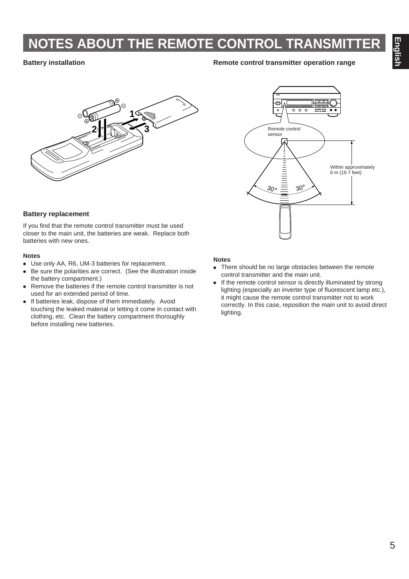# **NOTES ABOUT THE REMOTE CONTROL TRANSMI**

#### **Battery installation**

#### **Remote control transmitter operation range**



# $\overline{\circ}$   $\overline{\circ}$ Remote control sensor **HILLE** Within approximately 6 m (19.7 feet)30° 30°

#### **Battery replacement**

If you find that the remote control transmitter must be used closer to the main unit, the batteries are weak. Replace both batteries with new ones.

#### **Notes**

- Use only AA, R6, UM-3 batteries for replacement.
- Be sure the polarities are correct. (See the illustration inside the battery compartment.)
- Remove the batteries if the remote control transmitter is not used for an extended period of time.
- If batteries leak, dispose of them immediately. Avoid touching the leaked material or letting it come in contact with clothing, etc. Clean the battery compartment thoroughly before installing new batteries.

#### **Notes**

- There should be no large obstacles between the remote control transmitter and the main unit.
- If the remote control sensor is directly illuminated by strong lighting (especially an inverter type of fluorescent lamp etc.), it might cause the remote control transmitter not to work correctly. In this case, reposition the main unit to avoid direct lighting.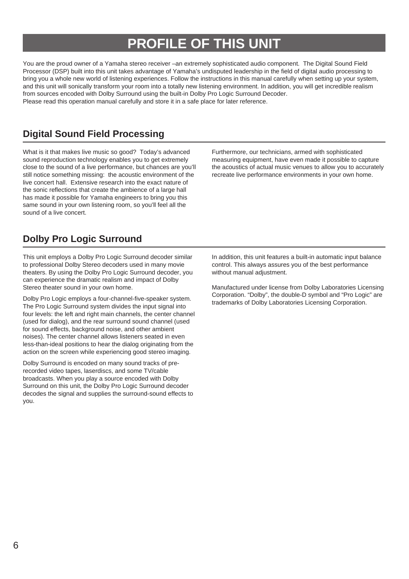# **PROFILE OF THIS UNIT**

You are the proud owner of a Yamaha stereo receiver –an extremely sophisticated audio component. The Digital Sound Field Processor (DSP) built into this unit takes advantage of Yamaha's undisputed leadership in the field of digital audio processing to bring you a whole new world of listening experiences. Follow the instructions in this manual carefully when setting up your system, and this unit will sonically transform your room into a totally new listening environment. In addition, you will get incredible realism from sources encoded with Dolby Surround using the built-in Dolby Pro Logic Surround Decoder. Please read this operation manual carefully and store it in a safe place for later reference.

## **Digital Sound Field Processing**

What is it that makes live music so good? Today's advanced sound reproduction technology enables you to get extremely close to the sound of a live performance, but chances are you'll still notice something missing: the acoustic environment of the live concert hall. Extensive research into the exact nature of the sonic reflections that create the ambience of a large hall has made it possible for Yamaha engineers to bring you this same sound in your own listening room, so you'll feel all the sound of a live concert.

Furthermore, our technicians, armed with sophisticated measuring equipment, have even made it possible to capture the acoustics of actual music venues to allow you to accurately recreate live performance environments in your own home.

## **Dolby Pro Logic Surround**

This unit employs a Dolby Pro Logic Surround decoder similar to professional Dolby Stereo decoders used in many movie theaters. By using the Dolby Pro Logic Surround decoder, you can experience the dramatic realism and impact of Dolby Stereo theater sound in your own home.

Dolby Pro Logic employs a four-channel-five-speaker system. The Pro Logic Surround system divides the input signal into four levels: the left and right main channels, the center channel (used for dialog), and the rear surround sound channel (used for sound effects, background noise, and other ambient noises). The center channel allows listeners seated in even less-than-ideal positions to hear the dialog originating from the action on the screen while experiencing good stereo imaging.

Dolby Surround is encoded on many sound tracks of prerecorded video tapes, laserdiscs, and some TV/cable broadcasts. When you play a source encoded with Dolby Surround on this unit, the Dolby Pro Logic Surround decoder decodes the signal and supplies the surround-sound effects to you.

In addition, this unit features a built-in automatic input balance control. This always assures you of the best performance without manual adjustment.

Manufactured under license from Dolby Laboratories Licensing Corporation. "Dolby", the double-D symbol and "Pro Logic" are trademarks of Dolby Laboratories Licensing Corporation.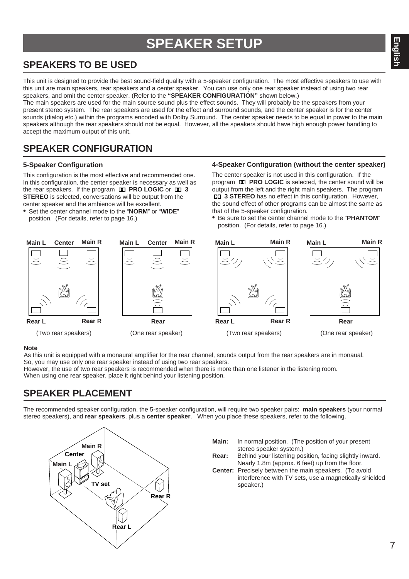# **SPEAKER SETUP**

# **SPEAKERS TO BE USED**

This unit is designed to provide the best sound-field quality with a 5-speaker configuration. The most effective speakers to use with this unit are main speakers, rear speakers and a center speaker. You can use only one rear speaker instead of using two rear speakers, and omit the center speaker. (Refer to the **"SPEAKER CONFIGURATION"** shown below.)

The main speakers are used for the main source sound plus the effect sounds. They will probably be the speakers from your present stereo system. The rear speakers are used for the effect and surround sounds, and the center speaker is for the center sounds (dialog etc.) within the programs encoded with Dolby Surround. The center speaker needs to be equal in power to the main speakers although the rear speakers should not be equal. However, all the speakers should have high enough power handling to accept the maximum output of this unit.

# **SPEAKER CONFIGURATION**

#### **5-Speaker Configuration**

This configuration is the most effective and recommended one. In this configuration, the center speaker is necessary as well as the rear speakers. If the program **II PRO LOGIC** or **II** 3 **STEREO** is selected, conversations will be output from the center speaker and the ambience will be excellent.

• Set the center channel mode to the "**NORM**" or "**WIDE**" position. (For details, refer to page 16.)

# **Main L Center Main R Center Rear L Rear R**



#### **4-Speaker Configuration (without the center speaker)**

The center speaker is not used in this configuration. If the program **PRO LOGIC** is selected, the center sound will be output from the left and the right main speakers. The program **11 3 STEREO** has no effect in this configuration. However, the sound effect of other programs can be almost the same as that of the 5-speaker configuration.

• Be sure to set the center channel mode to the "**PHANTOM**" position. (For details, refer to page 16.)



#### **Note**

As this unit is equipped with a monaural amplifier for the rear channel, sounds output from the rear speakers are in monaual. So, you may use only one rear speaker instead of using two rear speakers.

However, the use of two rear speakers is recommended when there is more than one listener in the listening room. When using one rear speaker, place it right behind your listening position.

## **SPEAKER PLACEMENT**

The recommended speaker configuration, the 5-speaker configuration, will require two speaker pairs: **main speakers** (your normal stereo speakers), and **rear speakers**, plus a **center speaker**. When you place these speakers, refer to the following.



- **Main:** In normal position. (The position of your present stereo speaker system.)
- **Rear:** Behind your listening position, facing slightly inward. Nearly 1.8m (approx. 6 feet) up from the floor.
- **Center:** Precisely between the main speakers. (To avoid interference with TV sets, use a magnetically shielded speaker.)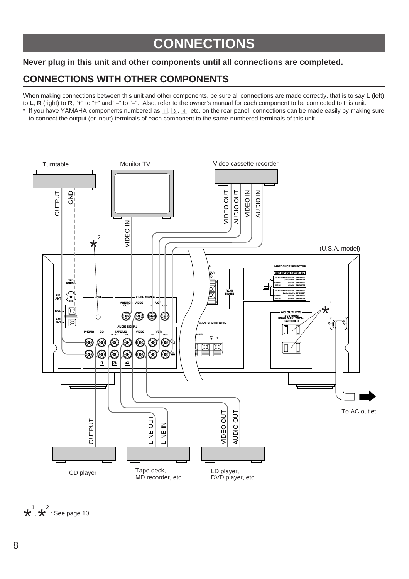# **CONNECTIONS**

#### **Never plug in this unit and other components until all connections are completed.**

## **CONNECTIONS WITH OTHER COMPONENTS**

When making connections between this unit and other components, be sure all connections are made correctly, that is to say **L** (left) to **L**, **R** (right) to **R**, "**+**" to "**+**" and "**–**" to "**–**". Also, refer to the owner's manual for each component to be connected to this unit.

\* If you have YAMAHA components numbered as  $\Box$ ,  $\Box$ ,  $\Box$ , etc. on the rear panel, connections can be made easily by making sure to connect the output (or input) terminals of each component to the same-numbered terminals of this unit.



 $\star$ <sup>1</sup>  $, \star^2$ : See page 10.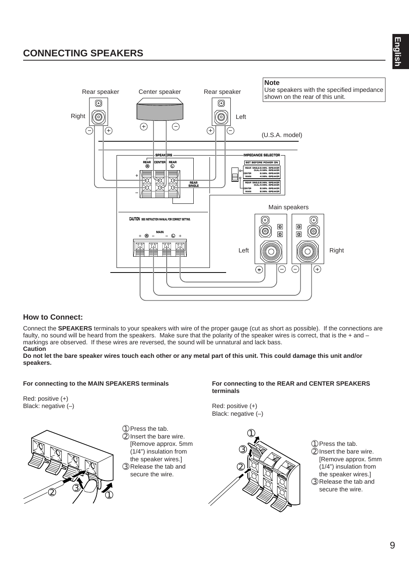# **CONNECTING SPEAKERS**



#### **How to Connect:**

Connect the **SPEAKERS** terminals to your speakers with wire of the proper gauge (cut as short as possible). If the connections are faulty, no sound will be heard from the speakers. Make sure that the polarity of the speaker wires is correct, that is the + and – markings are observed. If these wires are reversed, the sound will be unnatural and lack bass. **Caution**

**Do not let the bare speaker wires touch each other or any metal part of this unit. This could damage this unit and/or speakers.**

#### **For connecting to the MAIN SPEAKERS terminals**

Red: positive (+) Black: negative (–)



➀Press the tab. ➁Insert the bare wire. [Remove approx. 5mm (1/4") insulation from the speaker wires.] ➂Release the tab and secure the wire.

#### **For connecting to the REAR and CENTER SPEAKERS terminals**

Red: positive (+) Black: negative (–)



➀Press the tab.

- ➁Insert the bare wire. [Remove approx. 5mm (1/4") insulation from the speaker wires.]
- ➂Release the tab and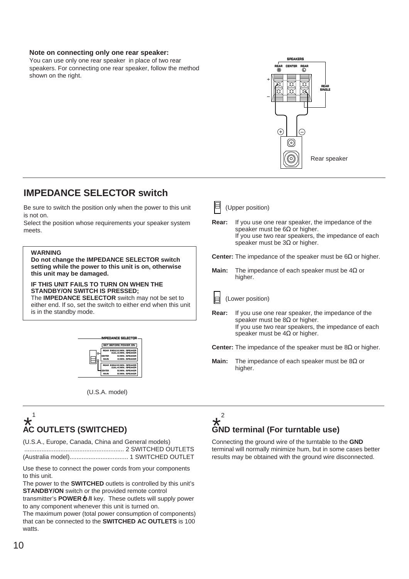#### **Note on connecting only one rear speaker:**

You can use only one rear speaker in place of two rear speakers. For connecting one rear speaker, follow the method shown on the right.



## **IMPEDANCE SELECTOR switch**

Be sure to switch the position only when the power to this unit is not on.

Select the position whose requirements your speaker system meets.

#### **WARNING**

**Do not change the IMPEDANCE SELECTOR switch setting while the power to this unit is on, otherwise this unit may be damaged.**

**IF THIS UNIT FAILS TO TURN ON WHEN THE STANDBY/ON SWITCH IS PRESSED;** The **IMPEDANCE SELECTOR** switch may not be set to

either end. If so, set the switch to either end when this unit is in the standby mode.



(U.S.A. model)

# **AC OUTLETS (SWITCHED)** \*  $\star^1$

(U.S.A., Europe, Canada, China and General models)

.......................................................... 2 SWITCHED OUTLETS (Australia model).................................. 1 SWITCHED OUTLET

Use these to connect the power cords from your components to this unit.

The power to the **SWITCHED** outlets is controlled by this unit's **STANDBY/ON** switch or the provided remote control

transmitter's **POWER**  $\phi$ **/I** key. These outlets will supply power to any component whenever this unit is turned on.

The maximum power (total power consumption of components) that can be connected to the **SWITCHED AC OUTLETS** is 100 watts.



- **Rear:** If you use one rear speaker, the impedance of the speaker must be  $6\Omega$  or higher. If you use two rear speakers, the impedance of each speaker must be  $3\Omega$  or higher.
- **Center:** The impedance of the speaker must be 6Ω or higher.
- **Main:** The impedance of each speaker must be 4Ω or higher.



**Rear:** If you use one rear speaker, the impedance of the speaker must be 8Ω or higher. If you use two rear speakers, the impedance of each speaker must be  $4\Omega$  or higher.

**Center:** The impedance of the speaker must be 8Ω or higher.

**Main:** The impedance of each speaker must be 8Ω or higher.

# **GND terminal (For turntable use)** \*  $\star^2$

Connecting the ground wire of the turntable to the **GND** terminal will normally minimize hum, but in some cases better results may be obtained with the ground wire disconnected.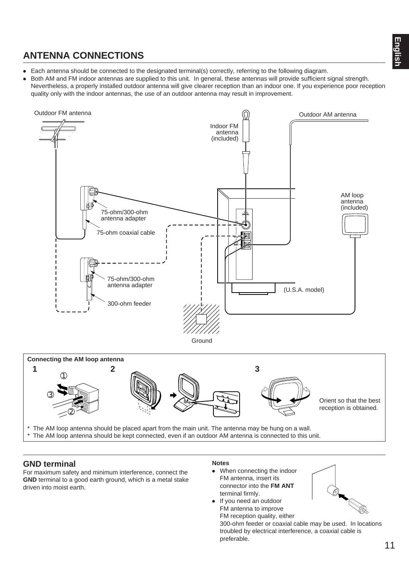# **ANTENNA CONNECTIONS**

- Each antenna should be connected to the designated terminal(s) correctly, referring to the following diagram.
- Both AM and FM indoor antennas are supplied to this unit. In general, these antennas will provide sufficient signal strength. Nevertheless, a properly installed outdoor antenna will give clearer reception than an indoor one. If you experience poor reception quality only with the indoor antennas, the use of an outdoor antenna may result in improvement.





The AM loop antenna should be placed apart from the main unit. The antenna may be hung on a wall.

#### The AM loop antenna should be kept connected, even if an outdoor AM antenna is connected to this unit.

#### **GND terminal**

For maximum safety and minimum interference, connect the **GND** terminal to a good earth ground, which is a metal stake driven into moist earth.

#### **Notes**

- When connecting the indoor FM antenna, insert its connector into the **FM ANT** terminal firmly.
- If you need an outdoor FM antenna to improve FM reception quality, either

300-ohm feeder or coaxial cable may be used. In locations troubled by electrical interference, a coaxial cable is preferable.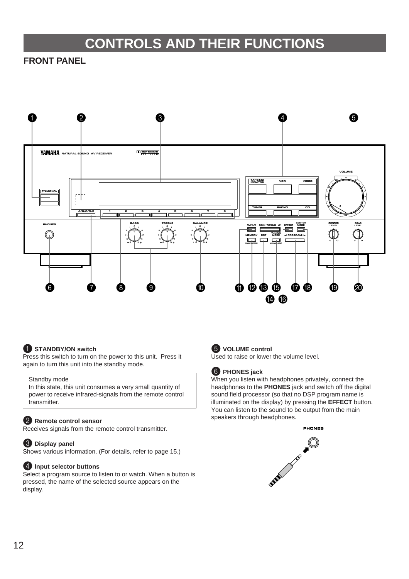# **CONTROLS AND THEIR FUNCTIONS**

## **FRONT PANEL**



#### 1 **STANDBY/ON switch**

Press this switch to turn on the power to this unit. Press it again to turn this unit into the standby mode.

#### Standby mode

In this state, this unit consumes a very small quantity of power to receive infrared-signals from the remote control .<br>transmitter.

#### 2 **Remote control sensor**

Receives signals from the remote control transmitter.

#### 3 **Display panel**

Shows various information. (For details, refer to page 15.)

#### 4 **Input selector buttons**

Select a program source to listen to or watch. When a button is pressed, the name of the selected source appears on the display.

#### 5 **VOLUME control**

Used to raise or lower the volume level.

#### 6 **PHONES jack**

When you listen with headphones privately, connect the headphones to the **PHONES** jack and switch off the digital sound field processor (so that no DSP program name is illuminated on the display) by pressing the **EFFECT** button. You can listen to the sound to be output from the main speakers through headphones.

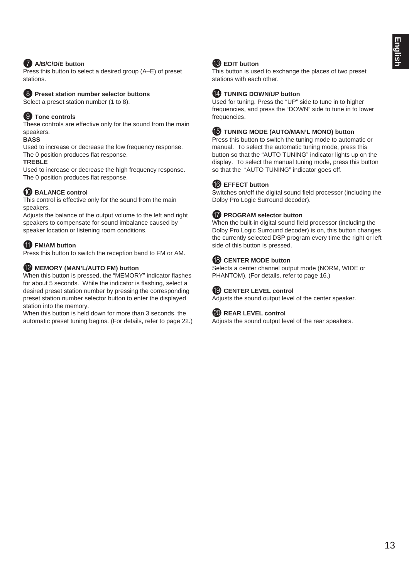#### 7 **A/B/C/D/E button**

Press this button to select a desired group (A–E) of preset stations.

#### 8 **Preset station number selector buttons**

Select a preset station number (1 to 8).

#### 9 **Tone controls**

These controls are effective only for the sound from the main speakers.

#### **BASS**

Used to increase or decrease the low frequency response. The 0 position produces flat response.

#### **TREBLE**

Used to increase or decrease the high frequency response. The 0 position produces flat response.

#### 0 **BALANCE control**

This control is effective only for the sound from the main speakers.

Adjusts the balance of the output volume to the left and right speakers to compensate for sound imbalance caused by speaker location or listening room conditions.

#### A **FM/AM button**

Press this button to switch the reception band to FM or AM.

#### B **MEMORY (MAN'L/AUTO FM) button**

When this button is pressed, the "MEMORY" indicator flashes for about 5 seconds. While the indicator is flashing, select a desired preset station number by pressing the corresponding preset station number selector button to enter the displayed station into the memory.

When this button is held down for more than 3 seconds, the automatic preset tuning begins. (For details, refer to page 22.)

#### **B** EDIT button

This button is used to exchange the places of two preset stations with each other.

#### D **TUNING DOWN/UP button**

Used for tuning. Press the "UP" side to tune in to higher frequencies, and press the "DOWN" side to tune in to lower frequencies.

#### E **TUNING MODE (AUTO/MAN'L MONO) button**

Press this button to switch the tuning mode to automatic or manual. To select the automatic tuning mode, press this button so that the "AUTO TUNING" indicator lights up on the display. To select the manual tuning mode, press this button so that the "AUTO TUNING" indicator goes off.

#### **18** EFFECT button

Switches on/off the digital sound field processor (including the Dolby Pro Logic Surround decoder).

#### G **PROGRAM selector button**

When the built-in digital sound field processor (including the Dolby Pro Logic Surround decoder) is on, this button changes the currently selected DSP program every time the right or left side of this button is pressed.

#### **(B)** CENTER MODE button

Selects a center channel output mode (NORM, WIDE or PHANTOM). (For details, refer to page 16.)

#### **IO** CENTER LEVEL control

Adjusts the sound output level of the center speaker.

#### **20** REAR LEVEL control

Adjusts the sound output level of the rear speakers.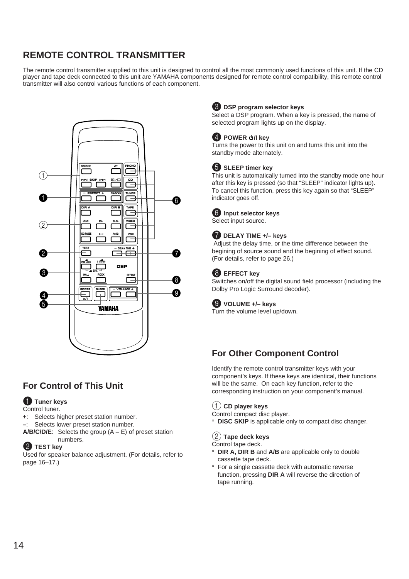# **REMOTE CONTROL TRANSMITTER**

The remote control transmitter supplied to this unit is designed to control all the most commonly used functions of this unit. If the CD player and tape deck connected to this unit are YAMAHA components designed for remote control compatibility, this remote control transmitter will also control various functions of each component.



## **For Control of This Unit**

#### **1** Tuner keys

- Control tuner.
- **+**: Selects higher preset station number.
- **–**: Selects lower preset station number.
- **A/B/C/D/E**: Selects the group (A E) of preset station numbers.

#### **2 TEST** key

Used for speaker balance adjustment. (For details, refer to page 16–17.)

#### 3 **DSP program selector keys**

Select a DSP program. When a key is pressed, the name of selected program lights up on the display.

#### **4** POWER  $\psi$ /I key

Turns the power to this unit on and turns this unit into the standby mode alternately.

#### 5 **SLEEP timer key**

This unit is automatically turned into the standby mode one hour after this key is pressed (so that "SLEEP" indicator lights up). To cancel this function, press this key again so that "SLEEP" indicator goes off.



#### Select input source.

#### 7 **DELAY TIME +/– keys**

Adjust the delay time, or the time difference between the begining of source sound and the begining of effect sound. (For details, refer to page 26.)

#### 8 **EFFECT key**

Switches on/off the digital sound field processor (including the Dolby Pro Logic Surround decoder).

#### 9 **VOLUME +/– keys**

Turn the volume level up/down.

## **For Other Component Control**

Identify the remote control transmitter keys with your component's keys. If these keys are identical, their functions will be the same. On each key function, refer to the corresponding instruction on your component's manual.

#### 1 **CD player keys**

- Control compact disc player.
- \* **DISC SKIP** is applicable only to compact disc changer.

#### 2 **Tape deck keys**

Control tape deck.

- **DIR A, DIR B** and **A/B** are applicable only to double cassette tape deck.
- \* For a single cassette deck with automatic reverse function, pressing **DIR A** will reverse the direction of tape running.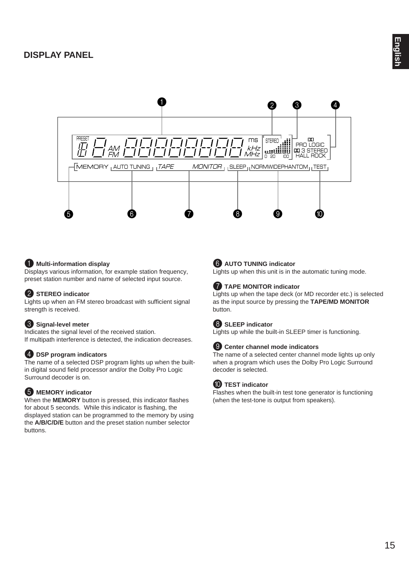## **DISPLAY PANEL**



#### 1 **Multi-information display**

Displays various information, for example station frequency, preset station number and name of selected input source.

#### 2 **STEREO indicator**

Lights up when an FM stereo broadcast with sufficient signal strength is received.

#### 3 **Signal-level meter**

Indicates the signal level of the received station. If multipath interference is detected, the indication decreases.

#### 4 **DSP program indicators**

The name of a selected DSP program lights up when the builtin digital sound field processor and/or the Dolby Pro Logic Surround decoder is on.

#### **5 MEMORY** indicator

When the **MEMORY** button is pressed, this indicator flashes for about 5 seconds. While this indicator is flashing, the displayed station can be programmed to the memory by using the **A/B/C/D/E** button and the preset station number selector buttons.

#### **6** AUTO TUNING indicator

Lights up when this unit is in the automatic tuning mode.

#### 7 **TAPE MONITOR indicator**

Lights up when the tape deck (or MD recorder etc.) is selected as the input source by pressing the **TAPE/MD MONITOR** button.

#### 8 **SLEEP indicator**

Lights up while the built-in SLEEP timer is functioning.

#### 9 **Center channel mode indicators**

The name of a selected center channel mode lights up only when a program which uses the Dolby Pro Logic Surround decoder is selected.

#### 0 **TEST indicator**

Flashes when the built-in test tone generator is functioning (when the test-tone is output from speakers).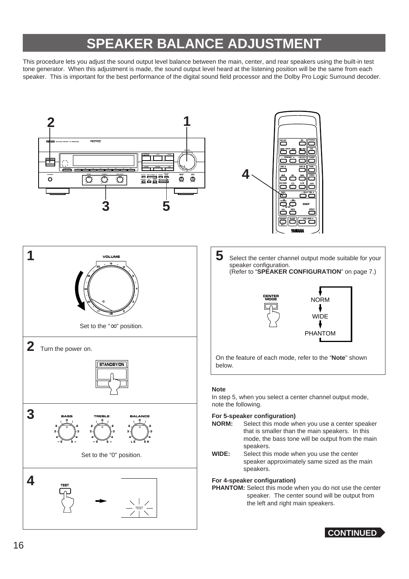# **SPEAKER BALANCE ADJUSTMENT**

This procedure lets you adjust the sound output level balance between the main, center, and rear speakers using the built-in test tone generator. When this adjustment is made, the sound output level heard at the listening position will be the same from each speaker. This is important for the best performance of the digital sound field processor and the Dolby Pro Logic Surround decoder.

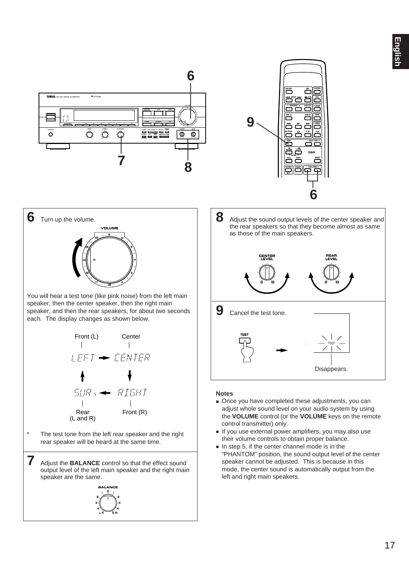**REAR LEVEL**

**0 l0**



**5 5**

**4 L R**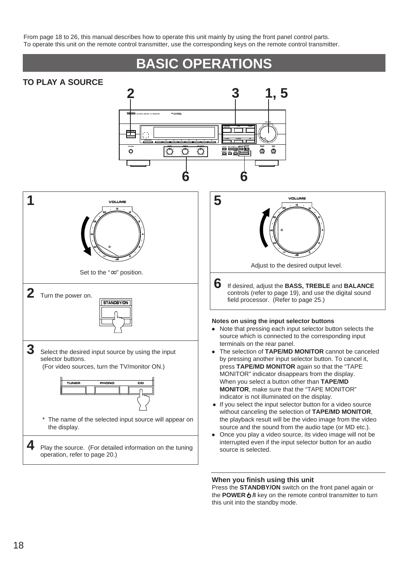From page 18 to 26, this manual describes how to operate this unit mainly by using the front panel control parts. To operate this unit on the remote control transmitter, use the corresponding keys on the remote control transmitter.

#### **BASIC OPERATIONS TO PLAY A SOURCE 3 2 1, 5**  $\mathbf{u}$ **NATURAL SOUND AV RECEIVER VOLUME TAPE/MD MONITOR VCR VIDEO 20 STANDBY/ON TUNER PHONO CD A/B/C/D/E <sup>1</sup> <sup>2</sup> <sup>3</sup> <sup>4</sup> <sup>5</sup> <sup>6</sup> <sup>7</sup> <sup>8</sup> PHONES BASS TREBLE BALANCE CENTER FM/AM LEVEL CENTER 5 5 4 3 2 <sup>l</sup> <sup>0</sup> <sup>l</sup> 2 3 4 <sup>l</sup> <sup>0</sup> <sup>l</sup> 5 5 4 3 2 <sup>l</sup> <sup>0</sup> <sup>l</sup> 2 3 4 L R DOWN TUNING UP EFFECT MODE MEMORY EDIT PROGRAM**  $\circ$ ጠ m **4 3 2 MAN'L/AUTO FM TUNING MODE AUTO/MAN'L MONO 0 l0 0 l0 5 5 6 61 5 VOLUME VOLUME l6 20 l2 l6 20 l2 28 8 28 8 4 40 4 40 2 60 2 60 0 –dB 0 –dB** Adjust to the desired output level. Set to the "∞" position. **6** If desired, adjust the **BASS, TREBLE** and **BALANCE 2** Turn the power on. controls (refer to page 19), and use the digital sound field processor. (Refer to page 25.) **STANDBY/ON Notes on using the input selector buttons** ● Note that pressing each input selector button selects the source which is connected to the corresponding input terminals on the rear panel. **3** Select the desired input source by using the input The selection of **TAPE/MD MONITOR** cannot be canceled selector buttons. by pressing another input selector button. To cancel it, (For video sources, turn the TV/monitor ON.) press **TAPE/MD MONITOR** again so that the "TAPE MONITOR" indicator disappears from the display. When you select a button other than **TAPE/MD TUNER PHONO CD MONITOR**, make sure that the "TAPE MONITOR" indicator is not illuminated on the display. ● If you select the input selector button for a video source without canceling the selection of **TAPE/MD MONITOR**, The name of the selected input source will appear on the playback result will be the video image from the video source and the sound from the audio tape (or MD etc.). the display. ● Once you play a video source, its video image will not be interrupted even if the input selector button for an audio **4** Play the source. (For detailed information on the tuning source is selected. operation, refer to page 20.)

#### **When you finish using this unit**

Press the **STANDBY/ON** switch on the front panel again or the **POWER** *b*/l key on the remote control transmitter to turn this unit into the standby mode.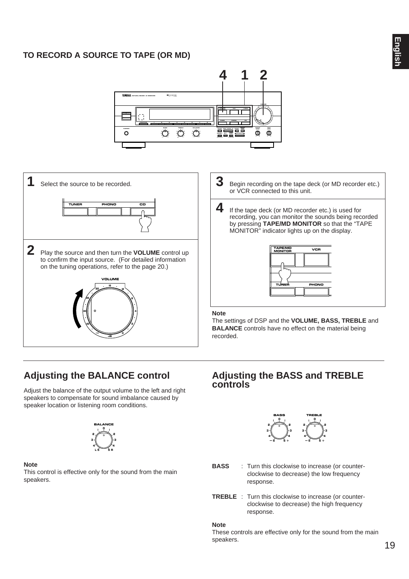## **TO RECORD A SOURCE TO TAPE (OR MD)**





# **Adjusting the BALANCE control**

Adjust the balance of the output volume to the left and right speakers to compensate for sound imbalance caused by speaker location or listening room conditions.



#### **Note**

This control is effective only for the sound from the main speakers.

#### **Adjusting the BASS and TREBLE controls**



- **BASS** : Turn this clockwise to increase (or counterclockwise to decrease) the low frequency response.
- **TREBLE** : Turn this clockwise to increase (or counterclockwise to decrease) the high frequency response.

#### **Note**

These controls are effective only for the sound from the main speakers.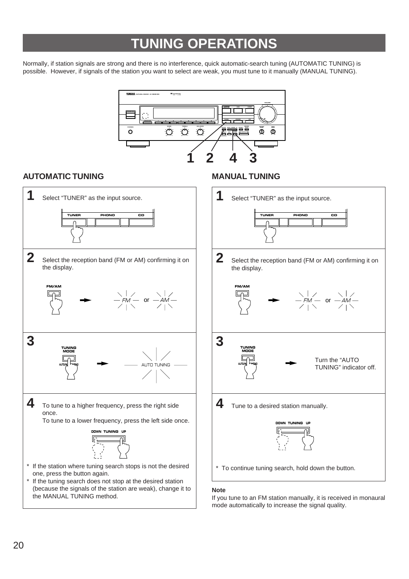# **TUNING OPERATIONS**

Normally, if station signals are strong and there is no interference, quick automatic-search tuning (AUTOMATIC TUNING) is possible. However, if signals of the station you want to select are weak, you must tune to it manually (MANUAL TUNING).



If you tune to an FM station manually, it is received in monaural mode automatically to increase the signal quality.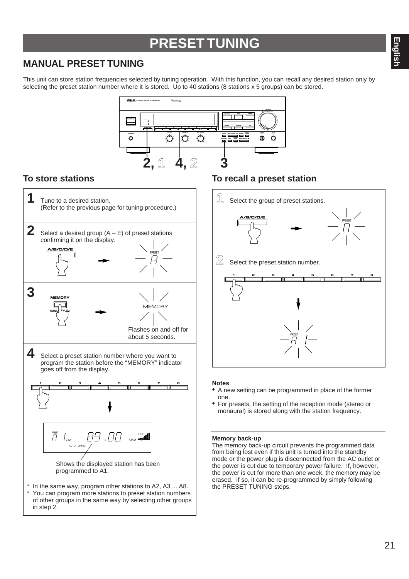# **MANUAL PRESET TUNING**

This unit can store station frequencies selected by tuning operation. With this function, you can recall any desired station only by selecting the preset station number where it is stored. Up to 40 stations (8 stations x 5 groups) can be stored.





## **To store stations To recall a preset station**



#### **Notes**

- A new setting can be programmed in place of the former one.
- For presets, the setting of the reception mode (stereo or monaural) is stored along with the station frequency.

#### **Memory back-up**

The memory back-up circuit prevents the programmed data from being lost even if this unit is turned into the standby mode or the power plug is disconnected from the AC outlet or the power is cut due to temporary power failure. If, however, the power is cut for more than one week, the memory may be erased. If so, it can be re-programmed by simply following the PRESET TUNING steps.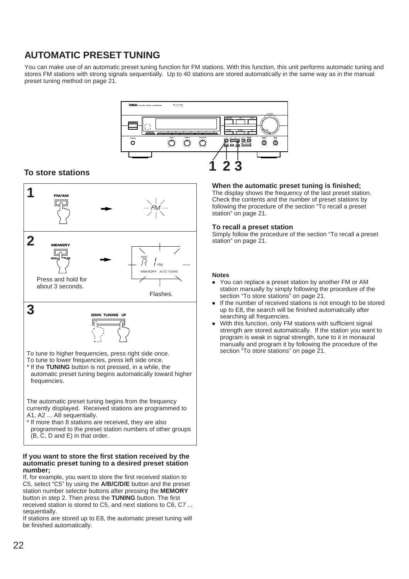## **AUTOMATIC PRESET TUNING**

You can make use of an automatic preset tuning function for FM stations. With this function, this unit performs automatic tuning and stores FM stations with strong signals sequentially. Up to 40 stations are stored automatically in the same way as in the manual preset tuning method on page 21.



#### **To store stations**



#### **If you want to store the first station received by the automatic preset tuning to a desired preset station number;**

If, for example, you want to store the first received station to C5, select "C5" by using the **A/B/C/D/E** button and the preset station number selector buttons after pressing the **MEMORY** button in step 2. Then press the **TUNING** button. The first received station is stored to C5, and next stations to C6, C7 ... sequentially.

If stations are stored up to E8, the automatic preset tuning will be finished automatically.

#### **When the automatic preset tuning is finished;**

The display shows the frequency of the last preset station. Check the contents and the number of preset stations by following the procedure of the section "To recall a preset station" on page 21.

#### **To recall a preset station**

Simply follow the procedure of the section "To recall a preset station" on page 21.

#### **Notes**

- You can replace a preset station by another FM or AM station manually by simply following the procedure of the section "To store stations" on page 21.
- If the number of received stations is not enough to be stored up to E8, the search will be finished automatically after searching all frequencies.
- With this function, only FM stations with sufficient signal strength are stored automatically. If the station you want to program is weak in signal strength, tune to it in monaural manually and program it by following the procedure of the section "To store stations" on page 21.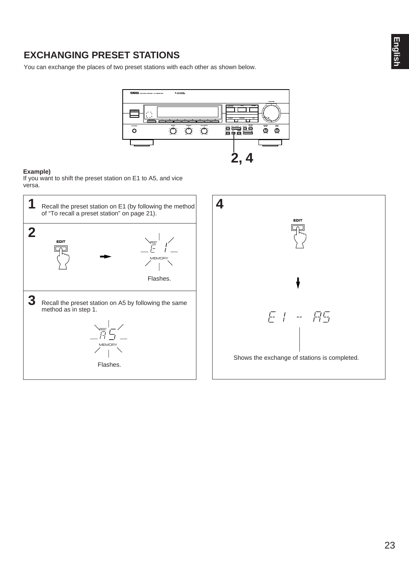# **EXCHANGING PRESET STATIONS**

You can exchange the places of two preset stations with each other as shown below.



#### **Example)**

If you want to shift the preset station on E1 to A5, and vice versa.

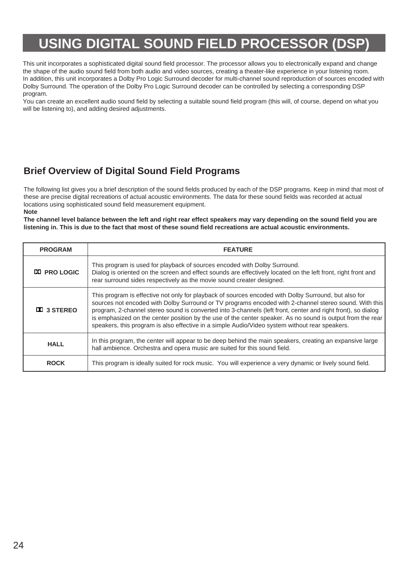# **USING DIGITAL SOUND FIELD PROCESSOR (DSP)**

This unit incorporates a sophisticated digital sound field processor. The processor allows you to electronically expand and change the shape of the audio sound field from both audio and video sources, creating a theater-like experience in your listening room. In addition, this unit incorporates a Dolby Pro Logic Surround decoder for multi-channel sound reproduction of sources encoded with Dolby Surround. The operation of the Dolby Pro Logic Surround decoder can be controlled by selecting a corresponding DSP program.

You can create an excellent audio sound field by selecting a suitable sound field program (this will, of course, depend on what you will be listening to), and adding desired adjustments.

## **Brief Overview of Digital Sound Field Programs**

The following list gives you a brief description of the sound fields produced by each of the DSP programs. Keep in mind that most of these are precise digital recreations of actual acoustic environments. The data for these sound fields was recorded at actual locations using sophisticated sound field measurement equipment.

**Note**

**The channel level balance between the left and right rear effect speakers may vary depending on the sound field you are listening in. This is due to the fact that most of these sound field recreations are actual acoustic environments.**

| <b>PROGRAM</b>          | <b>FEATURE</b>                                                                                                                                                                                                                                                                                                                                                                                                                                                                                                                                |
|-------------------------|-----------------------------------------------------------------------------------------------------------------------------------------------------------------------------------------------------------------------------------------------------------------------------------------------------------------------------------------------------------------------------------------------------------------------------------------------------------------------------------------------------------------------------------------------|
| <b>II</b> PRO LOGIC     | This program is used for playback of sources encoded with Dolby Surround.<br>Dialog is oriented on the screen and effect sounds are effectively located on the left front, right front and<br>rear surround sides respectively as the movie sound creater designed.                                                                                                                                                                                                                                                                           |
| $\blacksquare$ 3 STEREO | This program is effective not only for playback of sources encoded with Dolby Surround, but also for<br>sources not encoded with Dolby Surround or TV programs encoded with 2-channel stereo sound. With this<br>program, 2-channel stereo sound is converted into 3-channels (left front, center and right front), so dialog<br>is emphasized on the center position by the use of the center speaker. As no sound is output from the rear<br>speakers, this program is also effective in a simple Audio/Video system without rear speakers. |
| <b>HALL</b>             | In this program, the center will appear to be deep behind the main speakers, creating an expansive large<br>hall ambience. Orchestra and opera music are suited for this sound field.                                                                                                                                                                                                                                                                                                                                                         |
| <b>ROCK</b>             | This program is ideally suited for rock music. You will experience a very dynamic or lively sound field.                                                                                                                                                                                                                                                                                                                                                                                                                                      |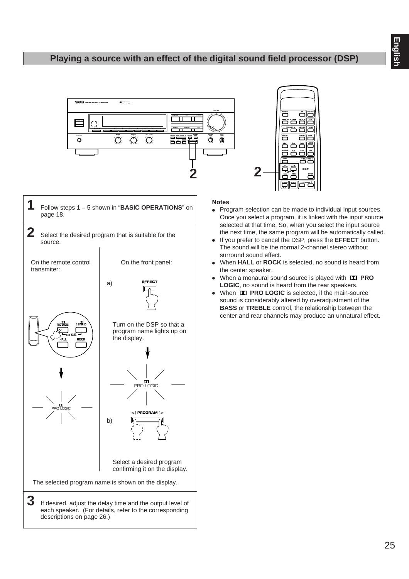## **Playing a source with an effect of the digital sound field processor (DSP)**





- Program selection can be made to individual input sources. Once you select a program, it is linked with the input source selected at that time. So, when you select the input source the next time, the same program will be automatically called.
- If you prefer to cancel the DSP, press the **EFFECT** button. The sound will be the normal 2-channel stereo without surround sound effect.
- When HALL or ROCK is selected, no sound is heard from the center speaker.
- When a monaural sound source is played with **DI PRO LOGIC**, no sound is heard from the rear speakers.
- When **DI PRO LOGIC** is selected, if the main-source sound is considerably altered by overadjustment of the **BASS** or **TREBLE** control, the relationship between the center and rear channels may produce an unnatural effect.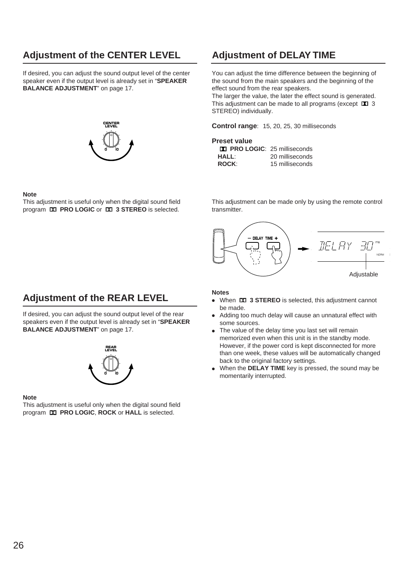# **Adjustment of the CENTER LEVEL**

If desired, you can adjust the sound output level of the center speaker even if the output level is already set in "**SPEAKER BALANCE ADJUSTMENT**" on page 17.



#### **Note**

This adjustment is useful only when the digital sound field program **DI PRO LOGIC** or **DI 3 STEREO** is selected.

## **Adjustment of the REAR LEVEL**

If desired, you can adjust the sound output level of the rear speakers even if the output level is already set in "**SPEAKER BALANCE ADJUSTMENT**" on page 17.



#### **Note**

This adjustment is useful only when the digital sound field program **DD** PRO LOGIC, ROCK or HALL is selected.

## **Adjustment of DELAY TIME**

You can adjust the time difference between the beginning of the sound from the main speakers and the beginning of the effect sound from the rear speakers.

The larger the value, the later the effect sound is generated. This adjustment can be made to all programs (except  $\blacksquare$  3 STEREO) individually.

**Control range**: 15, 20, 25, 30 milliseconds

#### **Preset value**

| <b>THE PRO LOGIC: 25 milliseconds</b> |                 |
|---------------------------------------|-----------------|
| HALL:                                 | 20 milliseconds |
| <b>ROCK:</b>                          | 15 milliseconds |

This adjustment can be made only by using the remote control transmitter.



#### **Notes**

- When **3 STEREO** is selected, this adjustment cannot be made.
- Adding too much delay will cause an unnatural effect with some sources.
- The value of the delay time you last set will remain memorized even when this unit is in the standby mode. However, if the power cord is kept disconnected for more than one week, these values will be automatically changed back to the original factory settings.
- When the **DELAY TIME** key is pressed, the sound may be momentarily interrupted.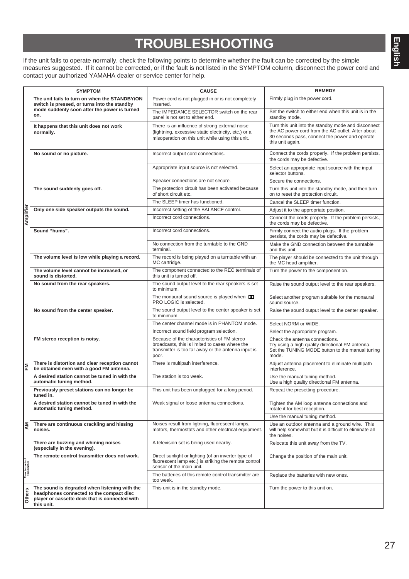# **TROUBLESHOOTING**

If the unit fails to operate normally, check the following points to determine whether the fault can be corrected by the simple measures suggested. If it cannot be corrected, or if the fault is not listed in the SYMPTOM column, disconnect the power cord and contact your authorized YAMAHA dealer or service center for help.

|                               | <b>SYMPTOM</b>                                                                                                                                            | <b>CAUSE</b>                                                                                                                                                  | <b>REMEDY</b>                                                                                                                                                                  |
|-------------------------------|-----------------------------------------------------------------------------------------------------------------------------------------------------------|---------------------------------------------------------------------------------------------------------------------------------------------------------------|--------------------------------------------------------------------------------------------------------------------------------------------------------------------------------|
|                               | The unit fails to turn on when the STANDBY/ON<br>switch is pressed, or turns into the standby                                                             | Power cord is not plugged in or is not completely<br>inserted.                                                                                                | Firmly plug in the power cord.                                                                                                                                                 |
|                               | mode suddenly soon after the power is turned<br>on.                                                                                                       | The IMPEDANCE SELECTOR switch on the rear<br>panel is not set to either end.                                                                                  | Set the switch to either end when this unit is in the<br>standby mode.                                                                                                         |
|                               | It happens that this unit does not work<br>normally.                                                                                                      | There is an influence of strong external noise<br>(lightning, excessive static electricity, etc.) or a<br>misoperation on this unit while using this unit.    | Turn this unit into the standby mode and disconnect<br>the AC power cord from the AC outlet. After about<br>30 seconds pass, connect the power and operate<br>this unit again. |
|                               | No sound or no picture.                                                                                                                                   | Incorrect output cord connections.                                                                                                                            | Connect the cords properly. If the problem persists,<br>the cords may be defective.                                                                                            |
|                               |                                                                                                                                                           | Appropriate input source is not selected.                                                                                                                     | Select an appropriate input source with the input<br>selector buttons.                                                                                                         |
|                               |                                                                                                                                                           | Speaker connections are not secure.                                                                                                                           | Secure the connections.                                                                                                                                                        |
|                               | The sound suddenly goes off.                                                                                                                              | The protection circuit has been activated because<br>of short circuit etc.                                                                                    | Turn this unit into the standby mode, and then turn<br>on to reset the protection circuit.                                                                                     |
|                               |                                                                                                                                                           | The SLEEP timer has functioned.                                                                                                                               | Cancel the SLEEP timer function.                                                                                                                                               |
|                               | Only one side speaker outputs the sound.                                                                                                                  | Incorrect setting of the BALANCE control.                                                                                                                     | Adjust it to the appropriate position.                                                                                                                                         |
| Amplifier                     |                                                                                                                                                           | Incorrect cord connections.                                                                                                                                   | Connect the cords properly. If the problem persists,<br>the cords may be defective.                                                                                            |
|                               | Sound "hums".                                                                                                                                             | Incorrect cord connections.                                                                                                                                   | Firmly connect the audio plugs. If the problem<br>persists, the cords may be defective.                                                                                        |
|                               |                                                                                                                                                           | No connection from the turntable to the GND<br>terminal.                                                                                                      | Make the GND connection between the turntable<br>and this unit.                                                                                                                |
|                               | The volume level is low while playing a record.                                                                                                           | The record is being played on a turntable with an<br>MC cartridge.                                                                                            | The player should be connected to the unit through<br>the MC head amplifier.                                                                                                   |
|                               | The volume level cannot be increased, or<br>sound is distorted.                                                                                           | The component connected to the REC terminals of<br>this unit is turned off.                                                                                   | Turn the power to the component on.                                                                                                                                            |
|                               | No sound from the rear speakers.                                                                                                                          | The sound output level to the rear speakers is set<br>to minimum.                                                                                             | Raise the sound output level to the rear speakers.                                                                                                                             |
|                               |                                                                                                                                                           | The monaural sound source is played when DD<br>PRO LOGIC is selected.                                                                                         | Select another program suitable for the monaural<br>sound source.                                                                                                              |
|                               | No sound from the center speaker.                                                                                                                         | The sound output level to the center speaker is set<br>to minimum.                                                                                            | Raise the sound output level to the center speaker.                                                                                                                            |
|                               |                                                                                                                                                           | The center channel mode is in PHANTOM mode.                                                                                                                   | Select NORM or WIDE.                                                                                                                                                           |
|                               |                                                                                                                                                           | Incorrect sound field program selection.                                                                                                                      | Select the appropriate program.                                                                                                                                                |
|                               | FM stereo reception is noisy.                                                                                                                             | Because of the characteristics of FM stereo<br>broadcasts, this is limited to cases where the<br>transmitter is too far away or the antenna input is<br>poor. | Check the antenna connections.<br>Try using a high quality directional FM antenna.<br>Set the TUNING MODE button to the manual tuning<br>mode.                                 |
| 틺                             | There is distortion and clear reception cannot<br>be obtained even with a good FM antenna.                                                                | There is multipath interference.                                                                                                                              | Adjust antenna placement to eliminate multipath<br>interference.                                                                                                               |
|                               | A desired station cannot be tuned in with the<br>automatic tuning method.                                                                                 | The station is too weak.                                                                                                                                      | Use the manual tuning method.<br>Use a high quality directional FM antenna.                                                                                                    |
|                               | Previously preset stations can no longer be<br>tuned in.                                                                                                  | This unit has been unplugged for a long period.                                                                                                               | Repeat the presetting procedure.                                                                                                                                               |
|                               | A desired station cannot be tuned in with the<br>automatic tuning method.                                                                                 | Weak signal or loose antenna connections.                                                                                                                     | Tighten the AM loop antenna connections and<br>rotate it for best reception.                                                                                                   |
|                               |                                                                                                                                                           |                                                                                                                                                               | Use the manual tuning method.                                                                                                                                                  |
| ΜV                            | There are continuous crackling and hissing<br>noises.                                                                                                     | Noises result from ligtning, fluorescent lamps,<br>motors, thermostats and other electrical equipment.                                                        | Use an outdoor antenna and a ground wire. This<br>will help somewhat but it is difficult to eliminate all<br>the noises.                                                       |
|                               | There are buzzing and whining noises<br>(especially in the evening).                                                                                      | A television set is being used nearby.                                                                                                                        | Relocate this unit away from the TV.                                                                                                                                           |
| Remote control<br>transmitter | The remote control transmitter does not work.                                                                                                             | Direct sunlight or lighting (of an inverter type of<br>fluorescent lamp etc.) is striking the remote control<br>sensor of the main unit.                      | Change the position of the main unit.                                                                                                                                          |
|                               |                                                                                                                                                           | The batteries of this remote control transmitter are<br>too weak.                                                                                             | Replace the batteries with new ones.                                                                                                                                           |
| Others                        | The sound is degraded when listening with the<br>headphones connected to the compact disc<br>player or cassette deck that is connected with<br>this unit. | This unit is in the standby mode.                                                                                                                             | Turn the power to this unit on.                                                                                                                                                |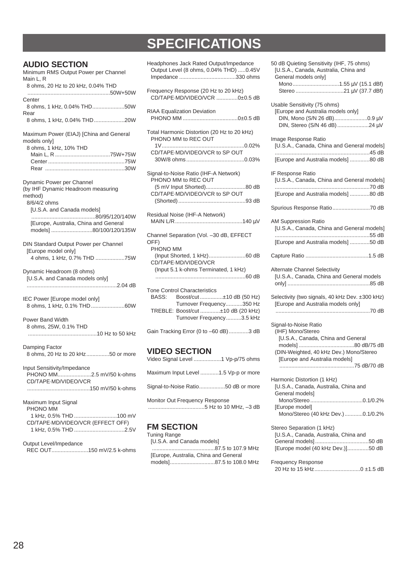# **SPECIFICATIONS**

# **AUDIO SECTION**

| <b>AUDIO SECTION</b><br>Minimum RMS Output Power per Channel<br>Main L, R                                               |
|-------------------------------------------------------------------------------------------------------------------------|
| 8 ohms, 20 Hz to 20 kHz, 0.04% THD                                                                                      |
| Center<br>8 ohms, 1 kHz, 0.04% THD50W                                                                                   |
| Rear<br>8 ohms, 1 kHz, 0.04% THD20W                                                                                     |
| Maximum Power (EIAJ) [China and General<br>models only]                                                                 |
| 8 ohms, 1 kHz, 10% THD                                                                                                  |
| Dynamic Power per Channel<br>(by IHF Dynamic Headroom measuring<br>method)<br>8/6/4/2 ohms                              |
| [U.S.A. and Canada models]                                                                                              |
| [Europe, Australia, China and General<br>models] 80/100/120/135W                                                        |
| DIN Standard Output Power per Channel<br>[Europe model only]<br>4 ohms, 1 kHz, 0.7% THD 75W                             |
| Dynamic Headroom (8 ohms)<br>[U.S.A. and Canada models only]                                                            |
| IEC Power [Europe model only]<br>8 ohms, 1 kHz, 0.1% THD60W                                                             |
| <b>Power Band Width</b><br>8 ohms, 25W, 0.1% THD                                                                        |
| Damping Factor<br>8 ohms, 20 Hz to 20 kHz50 or more                                                                     |
| Input Sensitivity/Impedance<br>PHONO MM2.5 mV/50 k-ohms<br>CD/TAPE-MD/VIDEO/VCR                                         |
| Maximum Input Signal<br>PHONO MM<br>1 kHz, 0.5% THD 100 mV<br>CD/TAPE-MD/VIDEO/VCR (EFFECT OFF)<br>1 kHz, 0.5% THD 2.5V |

#### Output Level/Impedance

| REC OUT150 mV/2.5 k-ohms |  |
|--------------------------|--|
|--------------------------|--|

| Headphones Jack Rated Output/Impedance<br>Output Level (8 ohms, 0.04% THD) 0.45V                                                                                       |
|------------------------------------------------------------------------------------------------------------------------------------------------------------------------|
| Frequency Response (20 Hz to 20 kHz)<br>CD/TAPE-MD/VIDEO/VCR 0±0.5 dB                                                                                                  |
| <b>RIAA Equalization Deviation</b>                                                                                                                                     |
| Total Harmonic Distortion (20 Hz to 20 kHz)<br>PHONO MM to REC OUT                                                                                                     |
| CD/TAPE-MD/VIDEO/VCR to SP OUT                                                                                                                                         |
| Signal-to-Noise Ratio (IHF-A Network)<br>PHONO MM to REC OUT<br>(5 mV Input Shorted)80 dB                                                                              |
| CD/TAPE-MD/VIDEO/VCR to SP OUT                                                                                                                                         |
| Residual Noise (IHF-A Network)                                                                                                                                         |
| Channel Separation (Vol. -30 dB, EFFECT<br>OFF)<br>PHONO MM                                                                                                            |
| (Input Shorted, 1 kHz)60 dB<br>CD/TAPE-MD/VIDEO/VCR<br>(Input 5.1 k-ohms Terminated, 1 kHz)                                                                            |
| <b>Tone Control Characteristics</b><br>BASS:<br>Boost/cut ±10 dB (50 Hz)<br>Turnover Frequency350 Hz<br>TREBLE: Boost/cut ±10 dB (20 kHz)<br>Turnover Frequency3.5 kHz |
| Gain Tracking Error (0 to -60 dB)3 dB                                                                                                                                  |

### **VIDEO SECTION**

| Maximum Input Level 1.5 Vp-p or more  |  |
|---------------------------------------|--|
| Signal-to-Noise Ratio50 dB or more    |  |
| <b>Monitor Out Frequency Response</b> |  |

## **FM SECTION**

Tuning Range

| [U.S.A. and Canada models]            |
|---------------------------------------|
|                                       |
| [Europe, Australia, China and General |
|                                       |

| 50 dB Quieting Sensitivity (IHF, 75 ohms)<br>[U.S.A., Canada, Australia, China and<br>General models only]<br>Mono1.55 μV (15.1 dBf)                         |
|--------------------------------------------------------------------------------------------------------------------------------------------------------------|
| Usable Sensitivity (75 ohms)<br>[Europe and Australia models only]<br>DIN, Mono (S/N 26 dB)0.9 µV<br>DIN, Stereo (S/N 46 dB) 24 μV                           |
| Image Response Ratio<br>[U.S.A., Canada, China and General models]<br>[Europe and Australia models] 80 dB                                                    |
| IF Response Ratio<br>[U.S.A., Canada, China and General models]<br>[Europe and Australia models] 80 dB                                                       |
|                                                                                                                                                              |
| <b>AM Suppression Ratio</b><br>[U.S.A., Canada, China and General models]<br>[Europe and Australia models] 50 dB                                             |
|                                                                                                                                                              |
| Alternate Channel Selectivity                                                                                                                                |
| [U.S.A., Canada, China and General models                                                                                                                    |
| Selectivity (two signals, 40 kHz Dev. ±300 kHz)<br>[Europe and Australia models only]                                                                        |
| Signal-to-Noise Ratio<br>(IHF) Mono/Stereo<br>[U.S.A., Canada, China and General<br>(DIN-Weighted, 40 kHz Dev.) Mono/Stereo<br>[Europe and Australia models] |
| Harmonic Distortion (1 kHz)<br>[U.S.A., Canada, Australia, China and<br>General models]<br>[Europe model]<br>Mono/Stereo (40 kHz Dev.) 0.1/0.2%              |

| Frequency Response |  |
|--------------------|--|
|                    |  |

[Europe model (40 kHz Dev.)]..............50 dB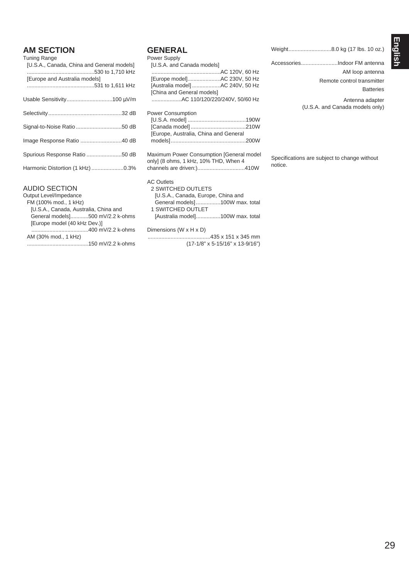#### **AM SECTION**

| <b>Tuning Range</b><br>[U.S.A., Canada, China and General models]<br>[Europe and Australia models] |
|----------------------------------------------------------------------------------------------------|
|                                                                                                    |
|                                                                                                    |
|                                                                                                    |
|                                                                                                    |
| Image Response Ratio 40 dB                                                                         |
| Spurious Response Ratio 50 dB                                                                      |
|                                                                                                    |
|                                                                                                    |

# **AUDIO SECTION**<br>Output Level/Impedano

| Output Level/Impedance                |
|---------------------------------------|
| FM (100% mod., 1 kHz)                 |
| [U.S.A., Canada, Australia, China and |
| General models]500 mV/2.2 k-ohms      |
| [Europe model (40 kHz Dev.)]          |
| 400 mV/2.2 k-ohms                     |
| AM (30% mod., 1 kHz)                  |

.........................................150 mV/2.2 k-ohms

# **GENERAL**<br>Power Supply

| Power Supply                     |
|----------------------------------|
| [U.S.A. and Canada models]       |
|                                  |
|                                  |
| [Australia model] AC 240V, 50 Hz |
| [China and General models]       |
| AC 110/120/220/240V, 50/60 Hz    |
|                                  |
| <b>Power Consumption</b>         |

| 5.105                                 |  |
|---------------------------------------|--|
|                                       |  |
|                                       |  |
| [Europe, Australia, China and General |  |
|                                       |  |

Maximum Power Consumption [General model only] (8 ohms, 1 kHz, 10% THD, When 4 channels are driven:)...............................410W

#### AC Outlets

| 2 SWITCHED OUTLETS                 |  |
|------------------------------------|--|
| [U.S.A., Canada, Europe, China and |  |
| 400111<br>∩ I I . I . 1            |  |

- General models]................100W max. total 1 SWITCHED OUTLET
- [Australia model]................100W max. total

#### Dimensions (W x H x D)

.........................................435 x 151 x 345 mm (17-1/8" x 5-15/16" x 13-9/16")

#### Weight............................8.0 kg (17 lbs. 10 oz.)

Accessories........................Indoor FM antenna AM loop antenna Remote control transmitter

> Antenna adapter (U.S.A. and Canada models only)

Batteries

Specifications are subject to change without notice.